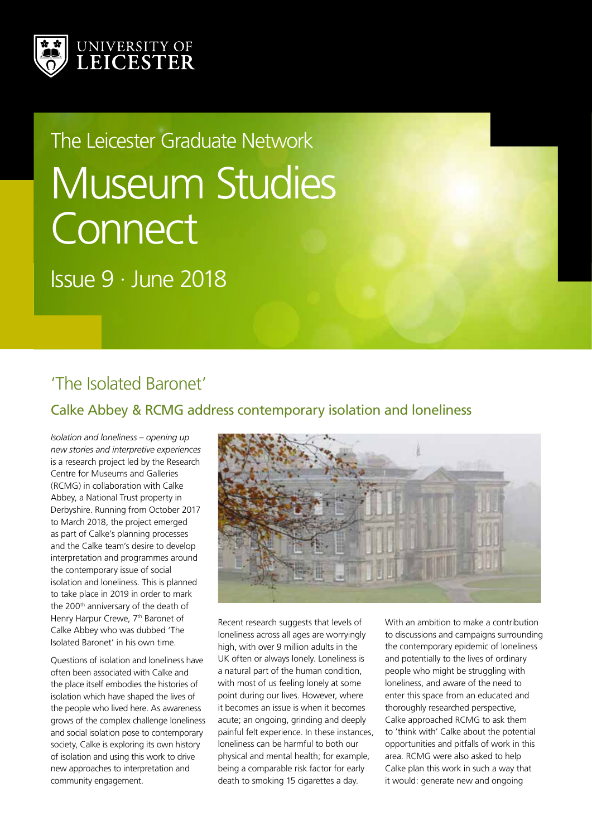

# Museum Studies **Connect** The Leicester Graduate Network

Issue 9 · June 2018

## 'The Isolated Baronet'

#### Calke Abbey & RCMG address contemporary isolation and loneliness

*Isolation and loneliness – opening up new stories and interpretive experiences* is a research project led by the Research Centre for Museums and Galleries (RCMG) in collaboration with Calke Abbey, a National Trust property in Derbyshire. Running from October 2017 to March 2018, the project emerged as part of Calke's planning processes and the Calke team's desire to develop interpretation and programmes around the contemporary issue of social isolation and loneliness. This is planned to take place in 2019 in order to mark the 200<sup>th</sup> anniversary of the death of Henry Harpur Crewe, 7<sup>th</sup> Baronet of Calke Abbey who was dubbed 'The Isolated Baronet' in his own time.

Questions of isolation and loneliness have often been associated with Calke and the place itself embodies the histories of isolation which have shaped the lives of the people who lived here. As awareness grows of the complex challenge loneliness and social isolation pose to contemporary society, Calke is exploring its own history of isolation and using this work to drive new approaches to interpretation and community engagement.



Recent research suggests that levels of loneliness across all ages are worryingly high, with over 9 million adults in the UK often or always lonely. Loneliness is a natural part of the human condition, with most of us feeling lonely at some point during our lives. However, where it becomes an issue is when it becomes acute; an ongoing, grinding and deeply painful felt experience. In these instances, loneliness can be harmful to both our physical and mental health; for example, being a comparable risk factor for early death to smoking 15 cigarettes a day.

With an ambition to make a contribution to discussions and campaigns surrounding the contemporary epidemic of loneliness and potentially to the lives of ordinary people who might be struggling with loneliness, and aware of the need to enter this space from an educated and thoroughly researched perspective, Calke approached RCMG to ask them to 'think with' Calke about the potential opportunities and pitfalls of work in this area. RCMG were also asked to help Calke plan this work in such a way that it would: generate new and ongoing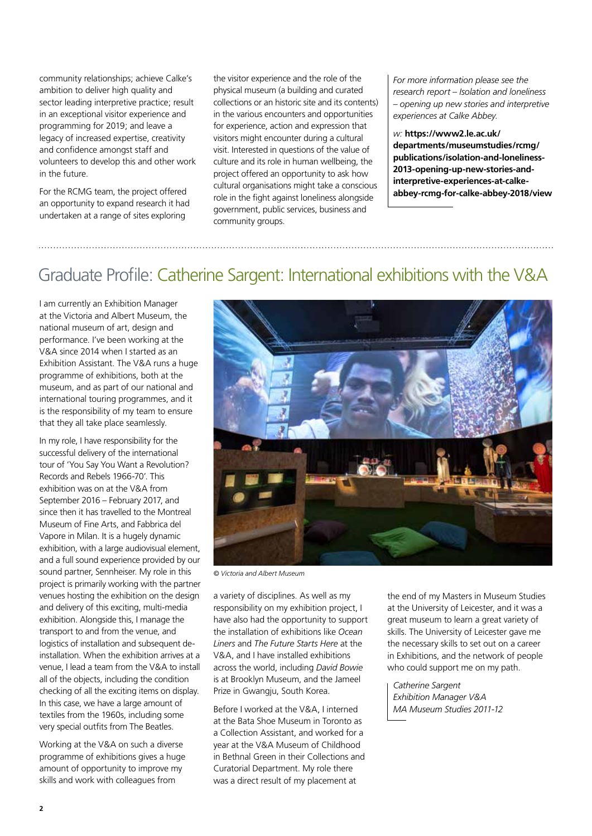community relationships; achieve Calke's ambition to deliver high quality and sector leading interpretive practice; result in an exceptional visitor experience and programming for 2019; and leave a legacy of increased expertise, creativity and confidence amongst staff and volunteers to develop this and other work in the future.

For the RCMG team, the project offered an opportunity to expand research it had undertaken at a range of sites exploring

the visitor experience and the role of the physical museum (a building and curated collections or an historic site and its contents) in the various encounters and opportunities for experience, action and expression that visitors might encounter during a cultural visit. Interested in questions of the value of culture and its role in human wellbeing, the project offered an opportunity to ask how cultural organisations might take a conscious role in the fight against loneliness alongside government, public services, business and community groups.

*For more information please see the research report – Isolation and loneliness – opening up new stories and interpretive experiences at Calke Abbey.*

*w:* **https://www2.le.ac.uk/ departments/museumstudies/rcmg/ publications/isolation-and-loneliness-2013-opening-up-new-stories-andinterpretive-experiences-at-calkeabbey-rcmg-for-calke-abbey-2018/view**

#### Graduate Profile: Catherine Sargent: International exhibitions with the V&A

I am currently an Exhibition Manager at the Victoria and Albert Museum, the national museum of art, design and performance. I've been working at the V&A since 2014 when I started as an Exhibition Assistant. The V&A runs a huge programme of exhibitions, both at the museum, and as part of our national and international touring programmes, and it is the responsibility of my team to ensure that they all take place seamlessly.

In my role, I have responsibility for the successful delivery of the international tour of 'You Say You Want a Revolution? Records and Rebels 1966-70'. This exhibition was on at the V&A from September 2016 – February 2017, and since then it has travelled to the Montreal Museum of Fine Arts, and Fabbrica del Vapore in Milan. It is a hugely dynamic exhibition, with a large audiovisual element, and a full sound experience provided by our sound partner, Sennheiser. My role in this project is primarily working with the partner venues hosting the exhibition on the design and delivery of this exciting, multi-media exhibition. Alongside this, I manage the transport to and from the venue, and logistics of installation and subsequent deinstallation. When the exhibition arrives at a venue, I lead a team from the V&A to install all of the objects, including the condition checking of all the exciting items on display. In this case, we have a large amount of textiles from the 1960s, including some very special outfits from The Beatles.

Working at the V&A on such a diverse programme of exhibitions gives a huge amount of opportunity to improve my skills and work with colleagues from



*© Victoria and Albert Museum*

a variety of disciplines. As well as my responsibility on my exhibition project, I have also had the opportunity to support the installation of exhibitions like *Ocean Liners* and *The Future Starts Here* at the V&A, and I have installed exhibitions across the world, including *David Bowie* is at Brooklyn Museum, and the Jameel Prize in Gwangju, South Korea.

Before I worked at the V&A, I interned at the Bata Shoe Museum in Toronto as a Collection Assistant, and worked for a year at the V&A Museum of Childhood in Bethnal Green in their Collections and Curatorial Department. My role there was a direct result of my placement at

the end of my Masters in Museum Studies at the University of Leicester, and it was a great museum to learn a great variety of skills. The University of Leicester gave me the necessary skills to set out on a career in Exhibitions, and the network of people who could support me on my path.

*Catherine Sargent Exhibition Manager V&A MA Museum Studies 2011-12*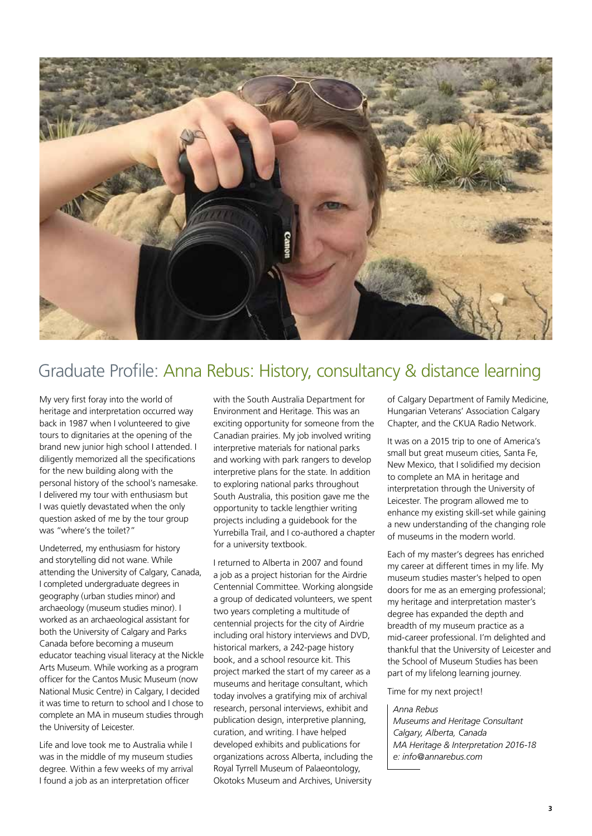

## Graduate Profile: Anna Rebus: History, consultancy & distance learning

My very first foray into the world of heritage and interpretation occurred way back in 1987 when I volunteered to give tours to dignitaries at the opening of the brand new junior high school I attended. I diligently memorized all the specifications for the new building along with the personal history of the school's namesake. I delivered my tour with enthusiasm but I was quietly devastated when the only question asked of me by the tour group was "where's the toilet?"

Undeterred, my enthusiasm for history and storytelling did not wane. While attending the University of Calgary, Canada, I completed undergraduate degrees in geography (urban studies minor) and archaeology (museum studies minor). I worked as an archaeological assistant for both the University of Calgary and Parks Canada before becoming a museum educator teaching visual literacy at the Nickle Arts Museum. While working as a program officer for the Cantos Music Museum (now National Music Centre) in Calgary, I decided it was time to return to school and I chose to complete an MA in museum studies through the University of Leicester.

Life and love took me to Australia while I was in the middle of my museum studies degree. Within a few weeks of my arrival I found a job as an interpretation officer

with the South Australia Department for Environment and Heritage. This was an exciting opportunity for someone from the Canadian prairies. My job involved writing interpretive materials for national parks and working with park rangers to develop interpretive plans for the state. In addition to exploring national parks throughout South Australia, this position gave me the opportunity to tackle lengthier writing projects including a guidebook for the Yurrebilla Trail, and I co-authored a chapter for a university textbook.

I returned to Alberta in 2007 and found a job as a project historian for the Airdrie Centennial Committee. Working alongside a group of dedicated volunteers, we spent two years completing a multitude of centennial projects for the city of Airdrie including oral history interviews and DVD, historical markers, a 242-page history book, and a school resource kit. This project marked the start of my career as a museums and heritage consultant, which today involves a gratifying mix of archival research, personal interviews, exhibit and publication design, interpretive planning, curation, and writing. I have helped developed exhibits and publications for organizations across Alberta, including the Royal Tyrrell Museum of Palaeontology, Okotoks Museum and Archives, University

of Calgary Department of Family Medicine, Hungarian Veterans' Association Calgary Chapter, and the CKUA Radio Network.

It was on a 2015 trip to one of America's small but great museum cities, Santa Fe, New Mexico, that I solidified my decision to complete an MA in heritage and interpretation through the University of Leicester. The program allowed me to enhance my existing skill-set while gaining a new understanding of the changing role of museums in the modern world.

Each of my master's degrees has enriched my career at different times in my life. My museum studies master's helped to open doors for me as an emerging professional; my heritage and interpretation master's degree has expanded the depth and breadth of my museum practice as a mid-career professional. I'm delighted and thankful that the University of Leicester and the School of Museum Studies has been part of my lifelong learning journey.

Time for my next project!

#### *Anna Rebus*

*Museums and Heritage Consultant Calgary, Alberta, Canada MA Heritage & Interpretation 2016-18 e: info@annarebus.com*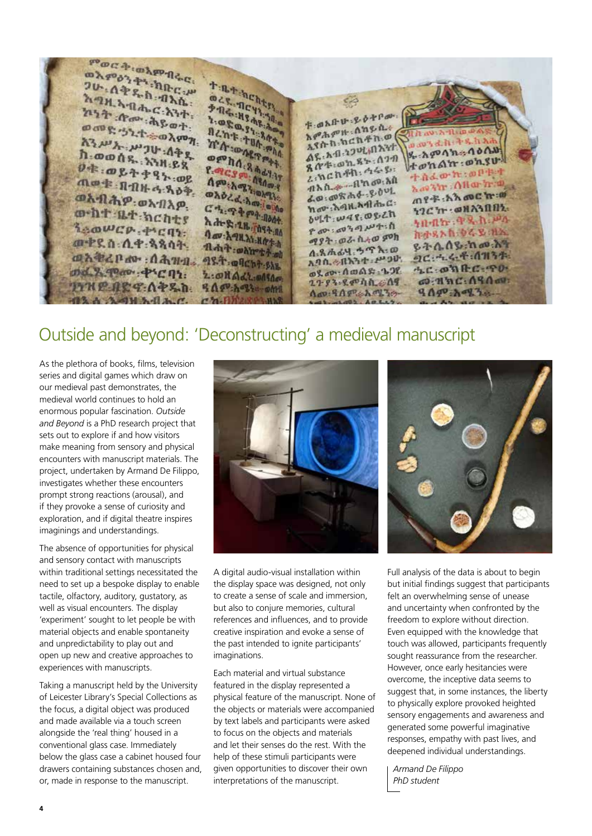<sup>ምወሮቅ</sup>፡ወአምብሩር<br>ወአምራንቅ፣ ከ<sup>ብሩር:</sup> ወአ<sub>ምዕን ቅት</sub> ክቡር ሥ<br>ጋሁ : ሰቅ የ ክቡር ሥ **TREAGATE**<br>**OCR. ACATE 26.4 ቀ**ዱስ ብአሴ<br>ትግዚአብሔር **THE REACHER** አግዚአብሔር አንተ<br>ከግዚአብሔር አንተ<br>ከንት ለመን አይነት ŠÃ ክንት *በ*ሙ ሕይወት<br>ወመድ ኃንተ ቱ ወአበ ሁ ይ ዕትቦም።<br>ት ወአበ ሁ ይ ዕትቦም። **The Highest Highest Contracts** ወመድ 32.ተ÷ወλምክ 1:080.34% hone ት ወአቡ ሁኔታ<br>አምሕምዙ : ሰካይሲ ፡፡ **APAPH ATA DO TA: DARPALLAMENT** እንሥት ሥጋሁ ብቅድ<br>በ-ወወሰደ aw's d. h + s. h A **OPPho. 3 Advise**  $\mathcal{G}_t$  :  $\Lambda \varphi$  o  $\Lambda$  in :  $\Lambda$  o  $\Lambda$  is ስ . ወወሰዱ . አንዚይχ 8 8 3 9 8 5 - 0 7 9  $+ \omega n \Delta n$ :  $\omega n$ .su. P. PCS RACIT  $0$ \* =  $0$  & + + 9 } =  $0$  &  $\frac{1}{2}$ & mch Ah: 44 8: ተሰራው ኪ.ወቦቱ ተ Appearance Assess The hand and the ጣወቁ በብዙ ፋዳዕቅ.<br>መትባታ በብዙ ፋዳዕቅ. Lavin Allarina **OADZA-Amieule**  $A = \frac{1}{2}$ ጠየ-ጅ:አλ መር ከ:መ ወአብሔዎ ወአብአይ hav A9H And do C  $G_{1}, G_{2}, \ldots, G_{n}$ 12C'T : @NA3001. ment at hents bult war osen h de & 28 met 10 ነበብኩ ዋዱስ ሥላ Reawer Prent Pap: 0939147:1 Lav: A THAT HITH hosphibes ak ሚያት : ወራ ሲተወ ምክ መዋደስ: ሲዋ: ጳጳሳት: Red : ware that ዩትሴሰዬ:ከመ:አት 4.8 h 44. 5 Th: 0 ante par Anna astalent su **JC: 4.4.4.11134. A.A.A.A.L.** P 30 4.C: 03 AC: 70 md. 9.40ao . ቀንሮባነ: ወደ መንግስመልዩ : ጌጋየ 2. OHAd1.005000 @ : H'n C: ASA av: 2793.8404A. A9 **FYNE ART APSh 4 0 9 1 1 2 3 4 0 MM Ago: 9 Ago: Ago: 20**  $909 - 893$ **A AMERICA** 

### Outside and beyond: 'Deconstructing' a medieval manuscript

As the plethora of books, films, television series and digital games which draw on our medieval past demonstrates, the medieval world continues to hold an enormous popular fascination. *Outside and Beyond* is a PhD research project that sets out to explore if and how visitors make meaning from sensory and physical encounters with manuscript materials. The project, undertaken by Armand De Filippo, investigates whether these encounters prompt strong reactions (arousal), and if they provoke a sense of curiosity and exploration, and if digital theatre inspires imaginings and understandings.

The absence of opportunities for physical and sensory contact with manuscripts within traditional settings necessitated the need to set up a bespoke display to enable tactile, olfactory, auditory, gustatory, as well as visual encounters. The display 'experiment' sought to let people be with material objects and enable spontaneity and unpredictability to play out and open up new and creative approaches to experiences with manuscripts.

Taking a manuscript held by the University of Leicester Library's Special Collections as the focus, a digital object was produced and made available via a touch screen alongside the 'real thing' housed in a conventional glass case. Immediately below the glass case a cabinet housed four drawers containing substances chosen and, or, made in response to the manuscript.



A digital audio-visual installation within the display space was designed, not only to create a sense of scale and immersion, but also to conjure memories, cultural references and influences, and to provide creative inspiration and evoke a sense of the past intended to ignite participants' imaginations.

Each material and virtual substance featured in the display represented a physical feature of the manuscript. None of the objects or materials were accompanied by text labels and participants were asked to focus on the objects and materials and let their senses do the rest. With the help of these stimuli participants were given opportunities to discover their own interpretations of the manuscript.



Full analysis of the data is about to begin but initial findings suggest that participants felt an overwhelming sense of unease and uncertainty when confronted by the freedom to explore without direction. Even equipped with the knowledge that touch was allowed, participants frequently sought reassurance from the researcher. However, once early hesitancies were overcome, the inceptive data seems to suggest that, in some instances, the liberty to physically explore provoked heighted sensory engagements and awareness and generated some powerful imaginative responses, empathy with past lives, and deepened individual understandings.

*Armand De Filippo PhD student*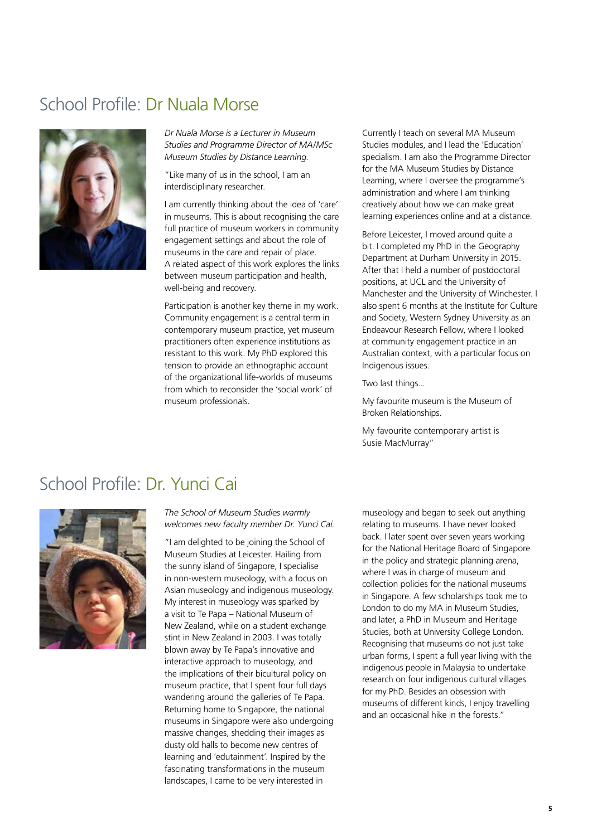#### School Profile: Dr Nuala Morse



*Dr Nuala Morse is a Lecturer in Museum Studies and Programme Director of MA/MSc Museum Studies by Distance Learning.*

"Like many of us in the school, I am an interdisciplinary researcher.

I am currently thinking about the idea of 'care' in museums. This is about recognising the care full practice of museum workers in community engagement settings and about the role of museums in the care and repair of place. A related aspect of this work explores the links between museum participation and health, well-being and recovery.

Participation is another key theme in my work. Community engagement is a central term in contemporary museum practice, yet museum practitioners often experience institutions as resistant to this work. My PhD explored this tension to provide an ethnographic account of the organizational life-worlds of museums from which to reconsider the 'social work' of museum professionals.

Currently I teach on several MA Museum Studies modules, and I lead the 'Education' specialism. I am also the Programme Director for the MA Museum Studies by Distance Learning, where I oversee the programme's administration and where I am thinking creatively about how we can make great learning experiences online and at a distance.

Before Leicester, I moved around quite a bit. I completed my PhD in the Geography Department at Durham University in 2015. After that I held a number of postdoctoral positions, at UCL and the University of Manchester and the University of Winchester. I also spent 6 months at the Institute for Culture and Society, Western Sydney University as an Endeavour Research Fellow, where I looked at community engagement practice in an Australian context, with a particular focus on Indigenous issues.

Two last things...

My favourite museum is the Museum of Broken Relationships.

My favourite contemporary artist is Susie MacMurray"

#### School Profile: Dr. Yunci Cai



*The School of Museum Studies warmly welcomes new faculty member Dr. Yunci Cai.*

"I am delighted to be joining the School of Museum Studies at Leicester. Hailing from the sunny island of Singapore, I specialise in non-western museology, with a focus on Asian museology and indigenous museology. My interest in museology was sparked by a visit to Te Papa – National Museum of New Zealand, while on a student exchange stint in New Zealand in 2003. I was totally blown away by Te Papa's innovative and interactive approach to museology, and the implications of their bicultural policy on museum practice, that I spent four full days wandering around the galleries of Te Papa. Returning home to Singapore, the national museums in Singapore were also undergoing massive changes, shedding their images as dusty old halls to become new centres of learning and 'edutainment'. Inspired by the fascinating transformations in the museum landscapes, I came to be very interested in

museology and began to seek out anything relating to museums. I have never looked back. I later spent over seven years working for the National Heritage Board of Singapore in the policy and strategic planning arena, where I was in charge of museum and collection policies for the national museums in Singapore. A few scholarships took me to London to do my MA in Museum Studies, and later, a PhD in Museum and Heritage Studies, both at University College London. Recognising that museums do not just take urban forms, I spent a full year living with the indigenous people in Malaysia to undertake research on four indigenous cultural villages for my PhD. Besides an obsession with museums of different kinds, I enjoy travelling and an occasional hike in the forests."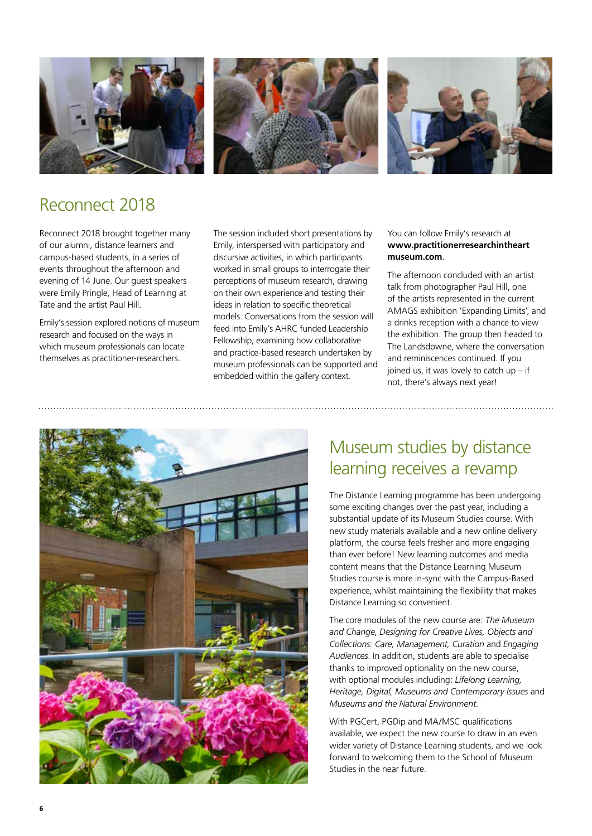



## Reconnect 2018

Reconnect 2018 brought together many of our alumni, distance learners and campus-based students, in a series of events throughout the afternoon and evening of 14 June. Our guest speakers were Emily Pringle, Head of Learning at Tate and the artist Paul Hill.

Emily's session explored notions of museum research and focused on the ways in which museum professionals can locate themselves as practitioner-researchers.

The session included short presentations by Emily, interspersed with participatory and discursive activities, in which participants worked in small groups to interrogate their perceptions of museum research, drawing on their own experience and testing their ideas in relation to specific theoretical models. Conversations from the session will feed into Emily's AHRC funded Leadership Fellowship, examining how collaborative and practice-based research undertaken by museum professionals can be supported and embedded within the gallery context.

#### You can follow Emily's research at **www.practitionerresearchintheart museum.com**.

The afternoon concluded with an artist talk from photographer Paul Hill, one of the artists represented in the current AMAGS exhibition 'Expanding Limits', and a drinks reception with a chance to view the exhibition. The group then headed to The Landsdowne, where the conversation and reminiscences continued. If you joined us, it was lovely to catch  $up - if$ not, there's always next year!



## Museum studies by distance learning receives a revamp

The Distance Learning programme has been undergoing some exciting changes over the past year, including a substantial update of its Museum Studies course. With new study materials available and a new online delivery platform, the course feels fresher and more engaging than ever before! New learning outcomes and media content means that the Distance Learning Museum Studies course is more in-sync with the Campus-Based experience, whilst maintaining the flexibility that makes Distance Learning so convenient.

The core modules of the new course are: *The Museum and Change*, *Designing for Creative Lives, Objects and Collections: Care, Management, Curation* and *Engaging Audiences*. In addition, students are able to specialise thanks to improved optionality on the new course, with optional modules including: *Lifelong Learning, Heritage, Digital, Museums and Contemporary Issues* and *Museums and the Natural Environment*.

With PGCert, PGDip and MA/MSC qualifications available, we expect the new course to draw in an even wider variety of Distance Learning students, and we look forward to welcoming them to the School of Museum Studies in the near future.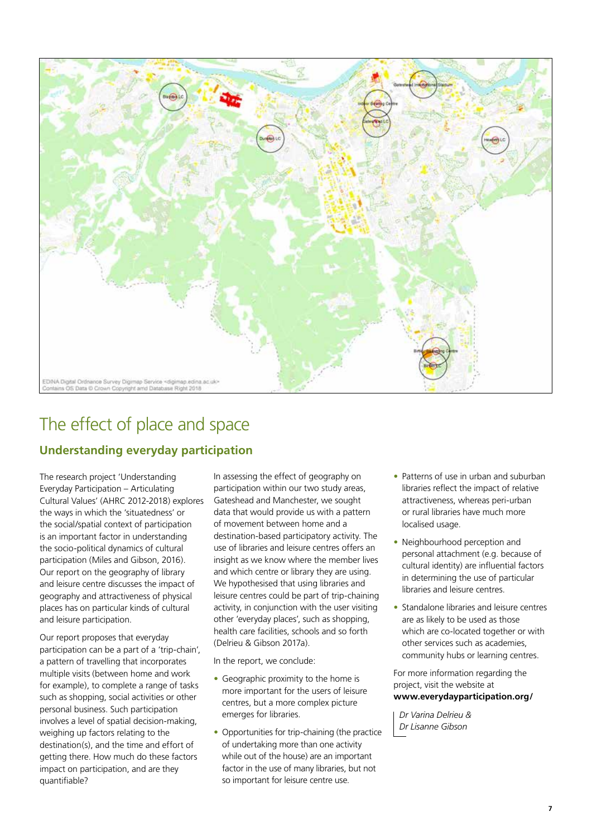

## The effect of place and space

#### **Understanding everyday participation**

The research project 'Understanding Everyday Participation – Articulating Cultural Values' (AHRC 2012-2018) explores the ways in which the 'situatedness' or the social/spatial context of participation is an important factor in understanding the socio-political dynamics of cultural participation (Miles and Gibson, 2016). Our report on the geography of library and leisure centre discusses the impact of geography and attractiveness of physical places has on particular kinds of cultural and leisure participation.

Our report proposes that everyday participation can be a part of a 'trip-chain', a pattern of travelling that incorporates multiple visits (between home and work for example), to complete a range of tasks such as shopping, social activities or other personal business. Such participation involves a level of spatial decision-making, weighing up factors relating to the destination(s), and the time and effort of getting there. How much do these factors impact on participation, and are they quantifiable?

In assessing the effect of geography on participation within our two study areas, Gateshead and Manchester, we sought data that would provide us with a pattern of movement between home and a destination-based participatory activity. The use of libraries and leisure centres offers an insight as we know where the member lives and which centre or library they are using. We hypothesised that using libraries and leisure centres could be part of trip-chaining activity, in conjunction with the user visiting other 'everyday places', such as shopping, health care facilities, schools and so forth (Delrieu & Gibson 2017a).

In the report, we conclude:

- Geographic proximity to the home is more important for the users of leisure centres, but a more complex picture emerges for libraries.
- Opportunities for trip-chaining (the practice of undertaking more than one activity while out of the house) are an important factor in the use of many libraries, but not so important for leisure centre use.
- Patterns of use in urban and suburban libraries reflect the impact of relative attractiveness, whereas peri-urban or rural libraries have much more localised usage.
- Neighbourhood perception and personal attachment (e.g. because of cultural identity) are influential factors in determining the use of particular libraries and leisure centres.
- Standalone libraries and leisure centres are as likely to be used as those which are co-located together or with other services such as academies, community hubs or learning centres.

For more information regarding the project, visit the website at **www.everydayparticipation.org/**

*Dr Varina Delrieu & Dr Lisanne Gibson*